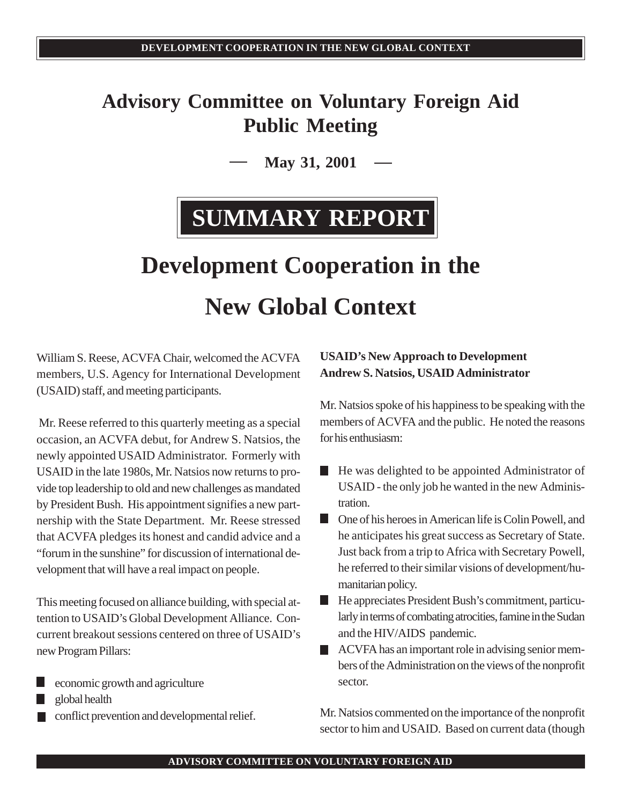## **Advisory Committee on Voluntary Foreign Aid Public Meeting**

**May 31, 2001**

# **SUMMARY REPORT**

# **Development Cooperation in the New Global Context**

William S. Reese, ACVFA Chair, welcomed the ACVFA members, U.S. Agency for International Development (USAID) staff, and meeting participants.

 Mr. Reese referred to this quarterly meeting as a special occasion, an ACVFA debut, for Andrew S. Natsios, the newly appointed USAID Administrator. Formerly with USAID in the late 1980s, Mr. Natsios now returns to provide top leadership to old and new challenges as mandated by President Bush. His appointment signifies a new partnership with the State Department. Mr. Reese stressed that ACVFA pledges its honest and candid advice and a "forum in the sunshine" for discussion of international development that will have a real impact on people.

This meeting focused on alliance building, with special attention to USAID's Global Development Alliance. Concurrent breakout sessions centered on three of USAID's new Program Pillars:

- economic growth and agriculture
- global health
- conflict prevention and developmental relief.

### **USAID's New Approach to Development Andrew S. Natsios, USAID Administrator**

Mr. Natsios spoke of his happiness to be speaking with the members of ACVFA and the public. He noted the reasons for his enthusiasm:

- $\blacksquare$  He was delighted to be appointed Administrator of USAID - the only job he wanted in the new Administration.
- $\Box$  One of his heroes in American life is Colin Powell, and he anticipates his great success as Secretary of State. Just back from a trip to Africa with Secretary Powell, he referred to their similar visions of development/humanitarian policy.
- n He appreciates President Bush's commitment, particularly in terms of combating atrocities, famine in the Sudan and the HIV/AIDS pandemic.
- n ACVFA has an important role in advising senior members of the Administration on the views of the nonprofit sector.

Mr. Natsios commented on the importance of the nonprofit sector to him and USAID. Based on current data (though

#### **ADVISORY COMMITTEE ON VOLUNTARY FOREIGN AID**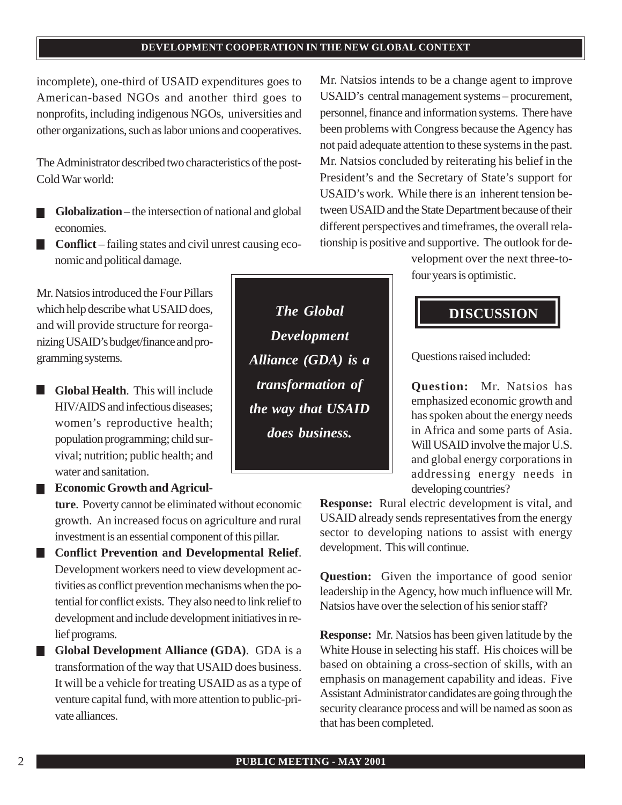*The Global*

*Development*

*Alliance (GDA) is a*

*transformation of*

*the way that USAID*

*does business.*

incomplete), one-third of USAID expenditures goes to American-based NGOs and another third goes to nonprofits, including indigenous NGOs, universities and other organizations, such as labor unions and cooperatives.

The Administrator described two characteristics of the post-Cold War world:

- Globalization the intersection of national and global economies.
- **Conflict** failing states and civil unrest causing economic and political damage.

Mr. Natsios introduced the Four Pillars which help describe what USAID does, and will provide structure for reorganizing USAID's budget/finance and programming systems.

- n **Global Health**. This will include HIV/AIDS and infectious diseases; women's reproductive health; population programming; child survival; nutrition; public health; and water and sanitation.
- **■** Economic Growth and Agricul-

**ture**. Poverty cannot be eliminated without economic growth. An increased focus on agriculture and rural investment is an essential component of this pillar.

- n **Conflict Prevention and Developmental Relief**. Development workers need to view development activities as conflict prevention mechanisms when the potential for conflict exists. They also need to link relief to development and include development initiatives in relief programs.
- **Global Development Alliance (GDA)**. GDA is a transformation of the way that USAID does business. It will be a vehicle for treating USAID as as a type of venture capital fund, with more attention to public-private alliances.

Mr. Natsios intends to be a change agent to improve USAID's central management systems – procurement, personnel, finance and information systems. There have been problems with Congress because the Agency has not paid adequate attention to these systems in the past. Mr. Natsios concluded by reiterating his belief in the President's and the Secretary of State's support for USAID's work. While there is an inherent tension between USAID and the State Department because of their different perspectives and timeframes, the overall relationship is positive and supportive. The outlook for de-

> velopment over the next three-tofour years is optimistic.

### **DISCUSSION**

Questions raised included:

**Question:** Mr. Natsios has emphasized economic growth and has spoken about the energy needs in Africa and some parts of Asia. Will USAID involve the major U.S. and global energy corporations in addressing energy needs in developing countries?

**Response:** Rural electric development is vital, and USAID already sends representatives from the energy sector to developing nations to assist with energy development. This will continue.

**Question:** Given the importance of good senior leadership in the Agency, how much influence will Mr. Natsios have over the selection of his senior staff?

**Response:** Mr. Natsios has been given latitude by the White House in selecting his staff. His choices will be based on obtaining a cross-section of skills, with an emphasis on management capability and ideas. Five Assistant Administrator candidates are going through the security clearance process and will be named as soon as that has been completed.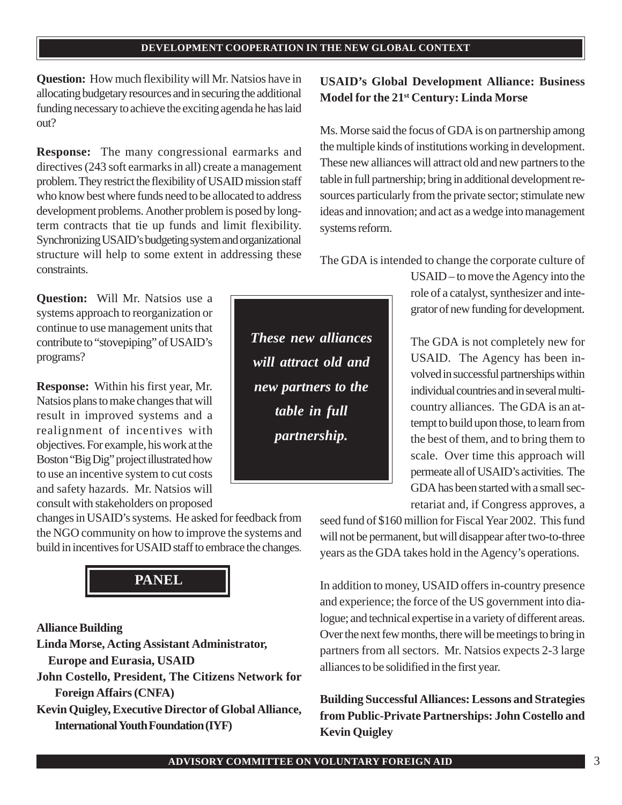**Question:** How much flexibility will Mr. Natsios have in allocating budgetary resources and in securing the additional funding necessary to achieve the exciting agenda he has laid out?

**Response:** The many congressional earmarks and directives (243 soft earmarks in all) create a management problem. They restrict the flexibility of USAID mission staff who know best where funds need to be allocated to address development problems. Another problem is posed by longterm contracts that tie up funds and limit flexibility. Synchronizing USAID's budgeting system and organizational structure will help to some extent in addressing these constraints.

**Question:** Will Mr. Natsios use a systems approach to reorganization or continue to use management units that contribute to "stovepiping" of USAID's programs?

**Response:** Within his first year, Mr. Natsios plans to make changes that will result in improved systems and a realignment of incentives with objectives. For example, his work at the Boston "Big Dig" project illustrated how to use an incentive system to cut costs and safety hazards. Mr. Natsios will consult with stakeholders on proposed

changes in USAID's systems. He asked for feedback from the NGO community on how to improve the systems and build in incentives for USAID staff to embrace the changes.

### **PANEL**

### **Alliance Building**

**Linda Morse, Acting Assistant Administrator,**

- **Europe and Eurasia, USAID**
- **John Costello, President, The Citizens Network for Foreign Affairs (CNFA)**
- **Kevin Quigley, Executive Director of Global Alliance, International Youth Foundation (IYF)**

### **USAID's Global Development Alliance: Business Model for the 21st Century: Linda Morse**

Ms. Morse said the focus of GDA is on partnership among the multiple kinds of institutions working in development. These new alliances will attract old and new partners to the table in full partnership; bring in additional development resources particularly from the private sector; stimulate new ideas and innovation; and act as a wedge into management systems reform.

The GDA is intended to change the corporate culture of

USAID – to move the Agency into the role of a catalyst, synthesizer and integrator of new funding for development.

The GDA is not completely new for USAID. The Agency has been involved in successful partnerships within individual countries and in several multicountry alliances. The GDA is an attempt to build upon those, to learn from the best of them, and to bring them to scale. Over time this approach will permeate all of USAID's activities. The GDA has been started with a small secretariat and, if Congress approves, a

seed fund of \$160 million for Fiscal Year 2002. This fund will not be permanent, but will disappear after two-to-three years as the GDA takes hold in the Agency's operations.

In addition to money, USAID offers in-country presence and experience; the force of the US government into dialogue; and technical expertise in a variety of different areas. Over the next few months, there will be meetings to bring in partners from all sectors. Mr. Natsios expects 2-3 large alliances to be solidified in the first year.

**Building Successful Alliances: Lessons and Strategies from Public-Private Partnerships: John Costello and Kevin Quigley**

*These new alliances will attract old and new partners to the table in full partnership.*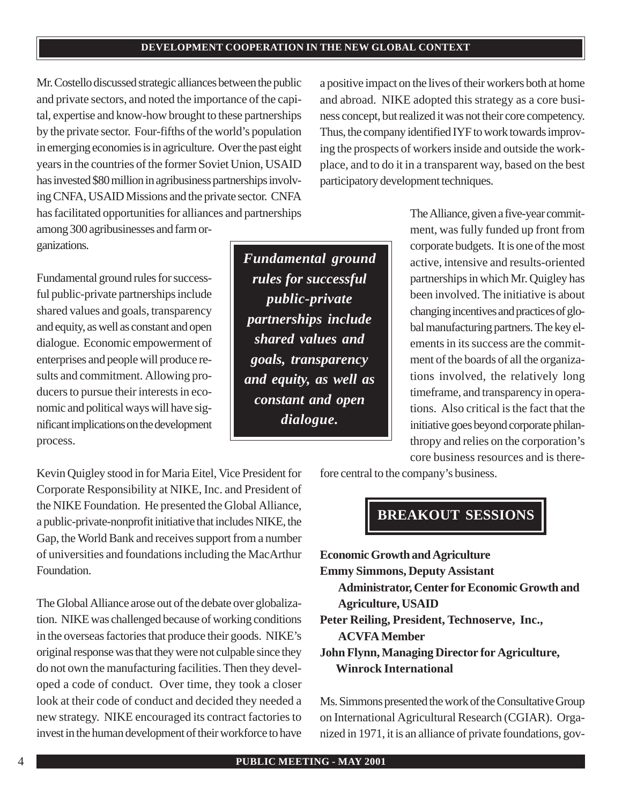Mr. Costello discussed strategic alliances between the public and private sectors, and noted the importance of the capital, expertise and know-how brought to these partnerships by the private sector. Four-fifths of the world's population in emerging economies is in agriculture. Over the past eight years in the countries of the former Soviet Union, USAID has invested \$80 million in agribusiness partnerships involving CNFA, USAID Missions and the private sector. CNFA has facilitated opportunities for alliances and partnerships among 300 agribusinesses and farm ora positive impact on the lives of their workers both at home and abroad. NIKE adopted this strategy as a core business concept, but realized it was not their core competency. Thus, the company identified IYF to work towards improving the prospects of workers inside and outside the workplace, and to do it in a transparent way, based on the best participatory development techniques.

ganizations.

Fundamental ground rules for successful public-private partnerships include shared values and goals, transparency and equity, as well as constant and open dialogue. Economic empowerment of enterprises and people will produce results and commitment. Allowing producers to pursue their interests in economic and political ways will have significant implications on the development process.

Kevin Quigley stood in for Maria Eitel, Vice President for Corporate Responsibility at NIKE, Inc. and President of the NIKE Foundation. He presented the Global Alliance, a public-private-nonprofit initiative that includes NIKE, the Gap, the World Bank and receives support from a number of universities and foundations including the MacArthur Foundation.

The Global Alliance arose out of the debate over globalization. NIKE was challenged because of working conditions in the overseas factories that produce their goods. NIKE's original response was that they were not culpable since they do not own the manufacturing facilities. Then they developed a code of conduct. Over time, they took a closer look at their code of conduct and decided they needed a new strategy. NIKE encouraged its contract factories to invest in the human development of their workforce to have

*Fundamental ground rules for successful public-private partnerships include shared values and goals, transparency and equity, as well as constant and open dialogue.*

The Alliance, given a five-year commitment, was fully funded up front from corporate budgets. It is one of the most active, intensive and results-oriented partnerships in which Mr. Quigley has been involved. The initiative is about changing incentives and practices of global manufacturing partners. The key elements in its success are the commitment of the boards of all the organizations involved, the relatively long timeframe, and transparency in operations. Also critical is the fact that the initiative goes beyond corporate philanthropy and relies on the corporation's core business resources and is there-

fore central to the company's business.

### **BREAKOUT SESSIONS**

| <b>Economic Growth and Agriculture</b>               |
|------------------------------------------------------|
| <b>Emmy Simmons, Deputy Assistant</b>                |
| <b>Administrator, Center for Economic Growth and</b> |
| <b>Agriculture, USAID</b>                            |
| Peter Reiling, President, Technoserve, Inc.,         |
| <b>ACVFA Member</b>                                  |
| John Flynn, Managing Director for Agriculture,       |
| <b>Winrock International</b>                         |
|                                                      |

Ms. Simmons presented the work of the Consultative Group on International Agricultural Research (CGIAR). Organized in 1971, it is an alliance of private foundations, gov-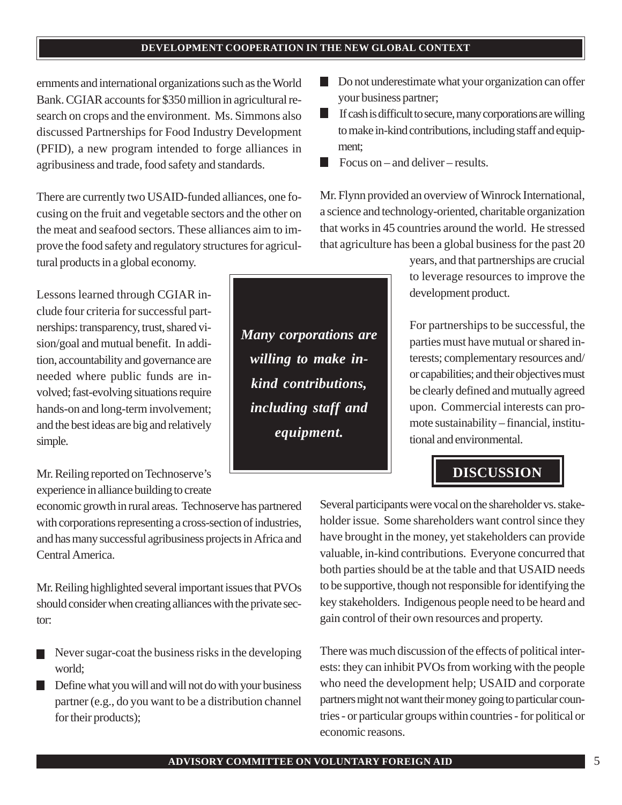ernments and international organizations such as the World Bank. CGIAR accounts for \$350 million in agricultural research on crops and the environment. Ms. Simmons also discussed Partnerships for Food Industry Development (PFID), a new program intended to forge alliances in agribusiness and trade, food safety and standards.

There are currently two USAID-funded alliances, one focusing on the fruit and vegetable sectors and the other on the meat and seafood sectors. These alliances aim to improve the food safety and regulatory structures for agricultural products in a global economy.

Lessons learned through CGIAR include four criteria for successful partnerships: transparency, trust, shared vision/goal and mutual benefit. In addition, accountability and governance are needed where public funds are involved; fast-evolving situations require hands-on and long-term involvement; and the best ideas are big and relatively simple.

Mr. Reiling reported on Technoserve's experience in alliance building to create

economic growth in rural areas. Technoserve has partnered with corporations representing a cross-section of industries, and has many successful agribusiness projects in Africa and Central America.

Mr. Reiling highlighted several important issues that PVOs should consider when creating alliances with the private sector:

- Never sugar-coat the business risks in the developing world;
- n Define what you will and will not do with your business partner (e.g., do you want to be a distribution channel for their products);
- n Do not underestimate what your organization can offer your business partner;
- $\Box$  If cash is difficult to secure, many corporations are willing to make in-kind contributions, including staff and equipment;
- Focus on and deliver results.

Mr. Flynn provided an overview of Winrock International, a science and technology-oriented, charitable organization that works in 45 countries around the world. He stressed that agriculture has been a global business for the past 20

> years, and that partnerships are crucial to leverage resources to improve the development product.

> For partnerships to be successful, the parties must have mutual or shared interests; complementary resources and/ or capabilities; and their objectives must be clearly defined and mutually agreed upon. Commercial interests can promote sustainability – financial, institutional and environmental.

### **DISCUSSION**

Several participants were vocal on the shareholder vs. stakeholder issue. Some shareholders want control since they have brought in the money, yet stakeholders can provide valuable, in-kind contributions. Everyone concurred that both parties should be at the table and that USAID needs to be supportive, though not responsible for identifying the key stakeholders. Indigenous people need to be heard and gain control of their own resources and property.

There was much discussion of the effects of political interests: they can inhibit PVOs from working with the people who need the development help; USAID and corporate partners might not want their money going to particular countries - or particular groups within countries - for political or economic reasons.

*Many corporations are willing to make inkind contributions, including staff and equipment.*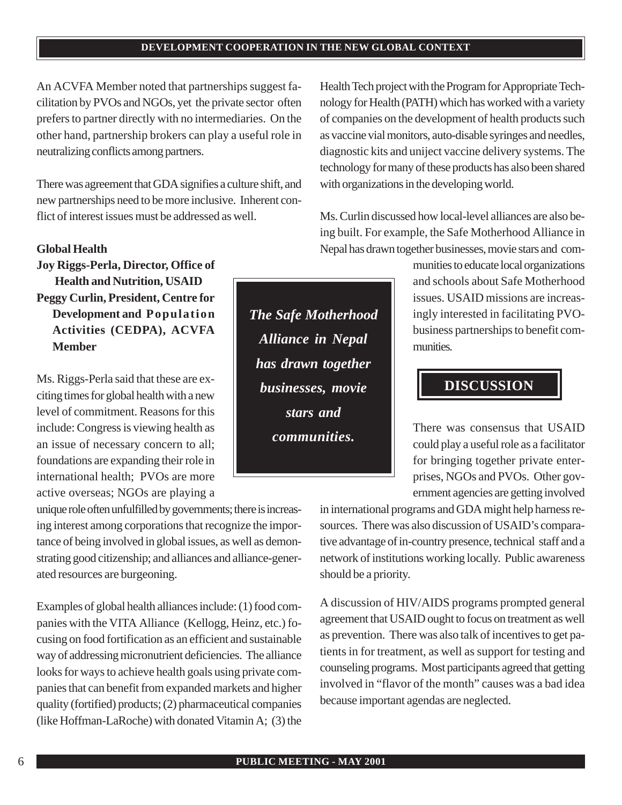An ACVFA Member noted that partnerships suggest facilitation by PVOs and NGOs, yet the private sector often prefers to partner directly with no intermediaries. On the other hand, partnership brokers can play a useful role in neutralizing conflicts among partners.

There was agreement that GDA signifies a culture shift, and new partnerships need to be more inclusive. Inherent conflict of interest issues must be addressed as well.

### **Global Health**

**Joy Riggs-Perla, Director, Office of Health and Nutrition, USAID Peggy Curlin, President, Centre for Development and Population Activities (CEDPA), ACVFA Member**

Ms. Riggs-Perla said that these are exciting times for global health with a new level of commitment. Reasons for this include: Congress is viewing health as an issue of necessary concern to all; foundations are expanding their role in international health; PVOs are more active overseas; NGOs are playing a

unique role often unfulfilled by governments; there is increasing interest among corporations that recognize the importance of being involved in global issues, as well as demonstrating good citizenship; and alliances and alliance-generated resources are burgeoning.

Examples of global health alliances include: (1) food companies with the VITA Alliance (Kellogg, Heinz, etc.) focusing on food fortification as an efficient and sustainable way of addressing micronutrient deficiencies. The alliance looks for ways to achieve health goals using private companies that can benefit from expanded markets and higher quality (fortified) products; (2) pharmaceutical companies (like Hoffman-LaRoche) with donated Vitamin A; (3) the

*The Safe Motherhood Alliance in Nepal has drawn together businesses, movie stars and communities.*

Health Tech project with the Program for Appropriate Technology for Health (PATH) which has worked with a variety of companies on the development of health products such as vaccine vial monitors, auto-disable syringes and needles, diagnostic kits and uniject vaccine delivery systems. The technology for many of these products has also been shared with organizations in the developing world.

Ms. Curlin discussed how local-level alliances are also being built. For example, the Safe Motherhood Alliance in Nepal has drawn together businesses, movie stars and com-

> munities to educate local organizations and schools about Safe Motherhood issues. USAID missions are increasingly interested in facilitating PVObusiness partnerships to benefit communities.

### **DISCUSSION**

There was consensus that USAID could play a useful role as a facilitator for bringing together private enterprises, NGOs and PVOs. Other government agencies are getting involved

in international programs and GDA might help harness resources. There was also discussion of USAID's comparative advantage of in-country presence, technical staff and a network of institutions working locally. Public awareness should be a priority.

A discussion of HIV/AIDS programs prompted general agreement that USAID ought to focus on treatment as well as prevention. There was also talk of incentives to get patients in for treatment, as well as support for testing and counseling programs. Most participants agreed that getting involved in "flavor of the month" causes was a bad idea because important agendas are neglected.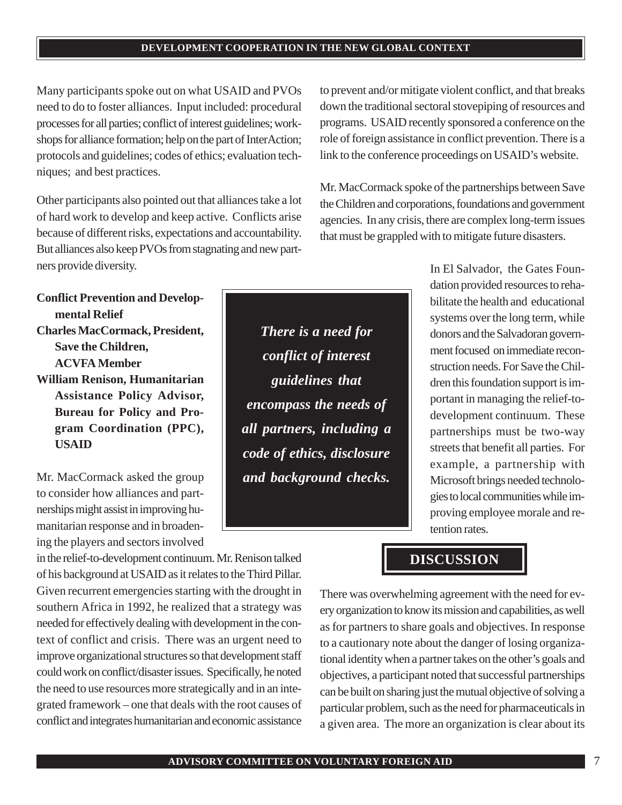Many participants spoke out on what USAID and PVOs need to do to foster alliances. Input included: procedural processes for all parties; conflict of interest guidelines; workshops for alliance formation; help on the part of InterAction; protocols and guidelines; codes of ethics; evaluation techniques; and best practices.

Other participants also pointed out that alliances take a lot of hard work to develop and keep active. Conflicts arise because of different risks, expectations and accountability. But alliances also keep PVOs from stagnating and new partners provide diversity.

to prevent and/or mitigate violent conflict, and that breaks down the traditional sectoral stovepiping of resources and programs. USAID recently sponsored a conference on the role of foreign assistance in conflict prevention. There is a link to the conference proceedings on USAID's website.

Mr. MacCormack spoke of the partnerships between Save the Children and corporations, foundations and government agencies. In any crisis, there are complex long-term issues that must be grappled with to mitigate future disasters.

**Conflict Prevention and Developmental Relief Charles MacCormack, President, Save the Children, ACVFA Member William Renison, Humanitarian Assistance Policy Advisor, Bureau for Policy and Program Coordination (PPC), USAID**

Mr. MacCormack asked the group to consider how alliances and partnerships might assist in improving humanitarian response and in broadening the players and sectors involved

in the relief-to-development continuum. Mr. Renison talked of his background at USAID as it relates to the Third Pillar. Given recurrent emergencies starting with the drought in southern Africa in 1992, he realized that a strategy was needed for effectively dealing with development in the context of conflict and crisis. There was an urgent need to improve organizational structures so that development staff could work on conflict/disaster issues. Specifically, he noted the need to use resources more strategically and in an integrated framework – one that deals with the root causes of conflict and integrates humanitarian and economic assistance

*There is a need for conflict of interest guidelines that encompass the needs of all partners, including a code of ethics, disclosure and background checks.*

In El Salvador, the Gates Foundation provided resources to rehabilitate the health and educational systems over the long term, while donors and the Salvadoran government focused on immediate reconstruction needs. For Save the Children this foundation support is important in managing the relief-todevelopment continuum. These partnerships must be two-way streets that benefit all parties. For example, a partnership with Microsoft brings needed technologies to local communities while improving employee morale and retention rates.

### **DISCUSSION**

There was overwhelming agreement with the need for every organization to know its mission and capabilities, as well as for partners to share goals and objectives. In response to a cautionary note about the danger of losing organizational identity when a partner takes on the other's goals and objectives, a participant noted that successful partnerships can be built on sharing just the mutual objective of solving a particular problem, such as the need for pharmaceuticals in a given area. The more an organization is clear about its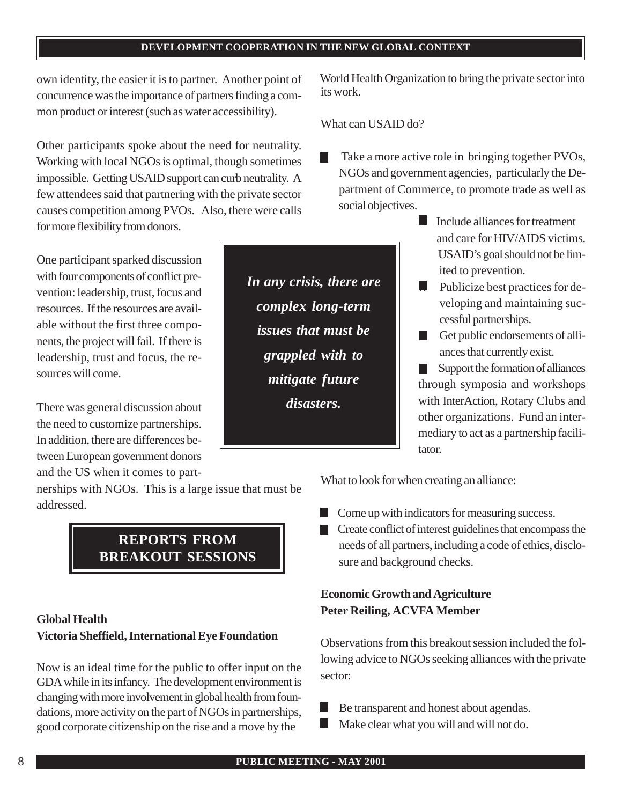*In any crisis, there are*

*complex long-term*

*issues that must be*

*grappled with to*

*mitigate future*

*disasters.*

own identity, the easier it is to partner. Another point of concurrence was the importance of partners finding a common product or interest (such as water accessibility).

Other participants spoke about the need for neutrality. Working with local NGOs is optimal, though sometimes impossible. Getting USAID support can curb neutrality. A few attendees said that partnering with the private sector causes competition among PVOs. Also, there were calls for more flexibility from donors.

One participant sparked discussion with four components of conflict prevention: leadership, trust, focus and resources. If the resources are available without the first three components, the project will fail. If there is leadership, trust and focus, the resources will come.

There was general discussion about the need to customize partnerships. In addition, there are differences between European government donors and the US when it comes to part-

nerships with NGOs. This is a large issue that must be addressed.

### **REPORTS FROM BREAKOUT SESSIONS**

### **Global Health Victoria Sheffield, International Eye Foundation**

Now is an ideal time for the public to offer input on the GDA while in its infancy. The development environment is changing with more involvement in global health from foundations, more activity on the part of NGOs in partnerships, good corporate citizenship on the rise and a move by the

its work. World Health Organization to bring the private sector into

What can USAID do?

- Take a more active role in bringing together PVOs, NGOs and government agencies, particularly the Department of Commerce, to promote trade as well as social objectives.
	- Include alliances for treatment and care for HIV/AIDS victims. USAID's goal should not be lim ited to prevention.
	- $\blacksquare$  Publicize best practices for developing and maintaining successful partnerships.
	- **n** Get public endorsements of alliances that currently exist.
	- **n** Support the formation of alliances through symposia and workshops with InterAction, Rotary Clubs and other organizations. Fund an intermediary to act as a partnership facilitator.

What to look for when creating an alliance:

- $\Box$  Come up with indicators for measuring success.
- $\blacksquare$  Create conflict of interest guidelines that encompass the needs of all partners, including a code of ethics, disclosure and background checks.

### **Economic Growth and Agriculture Peter Reiling, ACVFA Member**

Observations from this breakout session included the following advice to NGOs seeking alliances with the private sector:

Be transparent and honest about agendas.

Make clear what you will and will not do.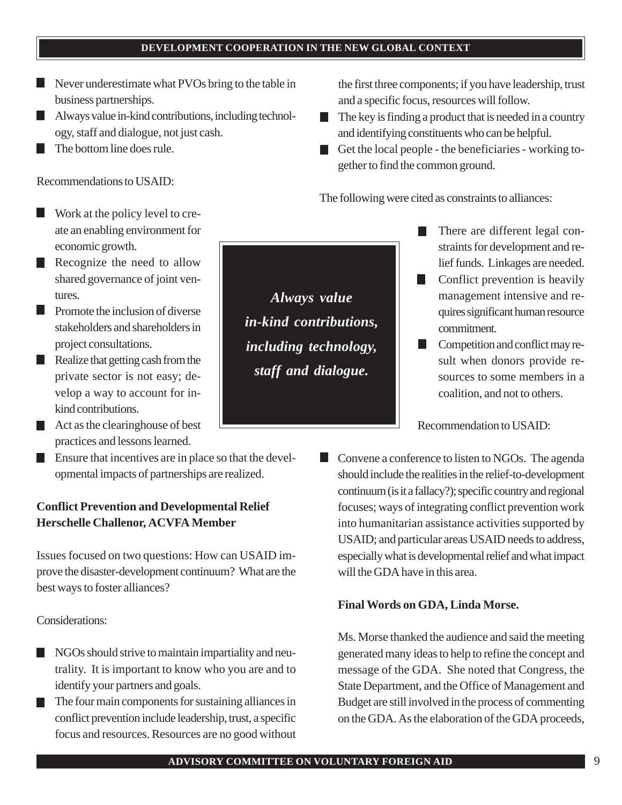- Never underestimate what PVOs bring to the table in business partnerships.
- n Always value in-kind contributions, including technology, staff and dialogue, not just cash.
- The bottom line does rule.

Recommendations to USAID:

- Work at the policy level to create an enabling environment for economic growth.
- Recognize the need to allow shared governance of joint ventures.
- Promote the inclusion of diverse stakeholders and shareholders in project consultations.
- $\blacksquare$  Realize that getting cash from the private sector is not easy; develop a way to account for inkind contributions.
- $\blacksquare$  Act as the clearinghouse of best practices and lessons learned.
- $\blacksquare$  Ensure that incentives are in place so that the developmental impacts of partnerships are realized.

### **Conflict Prevention and Developmental Relief Herschelle Challenor, ACVFA Member**

Issues focused on two questions: How can USAID improve the disaster-development continuum? What are the best ways to foster alliances?

Considerations:

- n NGOs should strive to maintain impartiality and neutrality. It is important to know who you are and to identify your partners and goals.
- The four main components for sustaining alliances in conflict prevention include leadership, trust, a specific focus and resources. Resources are no good without

the first three components; if you have leadership, trust and a specific focus, resources will follow.

- and identifying constituents who can be helpful.  $\blacksquare$  The key is finding a product that is needed in a country
- n Get the local people the beneficiaries working together to find the common ground.

The following were cited as constraints to alliances:

- There are different legal constraints for development and relief funds. Linkages are needed.
- $\blacksquare$  Conflict prevention is heavily management intensive and requires significant human resource commitment.
- n Competition and conflict may result when donors provide resources to some members in a coalition, and not to others.

Recommendation to USAID:

Convene a conference to listen to NGOs. The agenda should include the realities in the relief-to-development continuum (is it a fallacy?); specific country and regional focuses; ways of integrating conflict prevention work into humanitarian assistance activities supported by USAID; and particular areas USAID needs to address, especially what is developmental relief and what impact will the GDA have in this area.

### **Final Words on GDA, Linda Morse.**

Ms. Morse thanked the audience and said the meeting generated many ideas to help to refine the concept and message of the GDA. She noted that Congress, the State Department, and the Office of Management and Budget are still involved in the process of commenting on the GDA. As the elaboration of the GDA proceeds,

*Always value in-kind contributions, including technology, staff and dialogue.*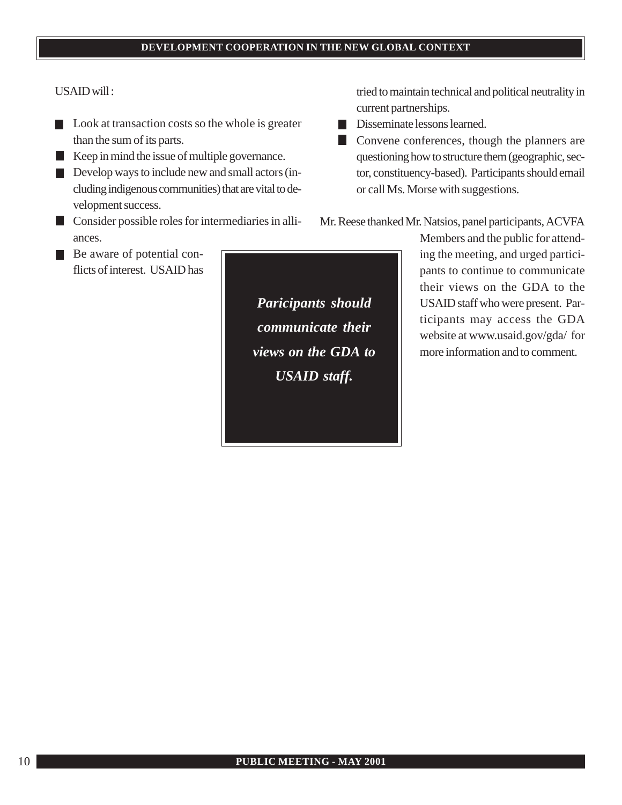#### USAID will :

- **n** Look at transaction costs so the whole is greater than the sum of its parts.
- **k** Keep in mind the issue of multiple governance.
- n Develop ways to include new and small actors (including indigenous communities) that are vital to development success.
- **n** Consider possible roles for intermediaries in alliances.
- **n** Be aware of potential conflicts of interest. USAID has

*Paricipants should communicate their views on the GDA to USAID staff.*

tried to maintain technical and political neutrality in current partnerships.

- Disseminate lessons learned.
- Convene conferences, though the planners are questioning how to structure them (geographic, sector, constituency-based). Participants should email or call Ms. Morse with suggestions.

#### Mr. Reese thanked Mr. Natsios, panel participants, ACVFA

Members and the public for attending the meeting, and urged participants to continue to communicate their views on the GDA to the USAID staff who were present. Participants may access the GDA website at www.usaid.gov/gda/ for more information and to comment.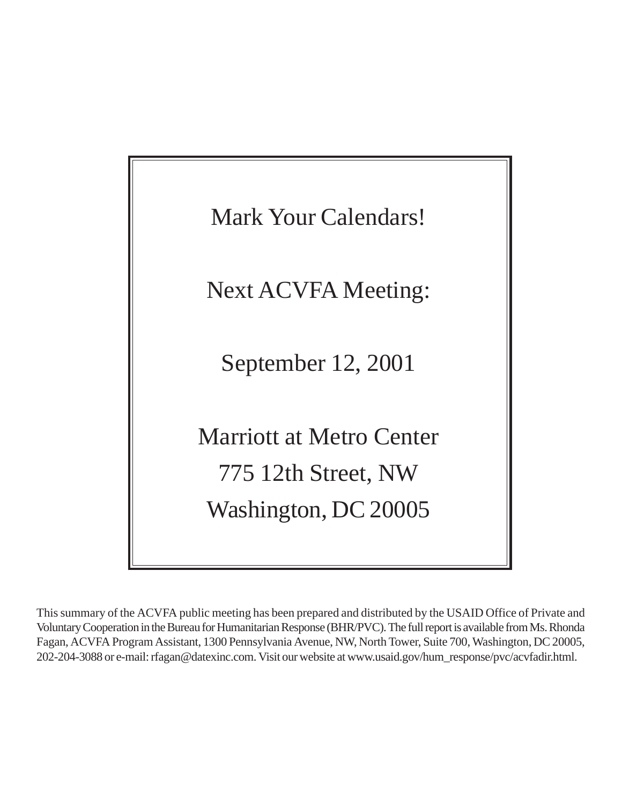Mark Your Calendars! Next ACVFA Meeting: September 12, 2001 Marriott at Metro Center 775 12th Street, NW Washington, DC 20005

This summary of the ACVFA public meeting has been prepared and distributed by the USAID Office of Private and Voluntary Cooperation in the Bureau for Humanitarian Response (BHR/PVC). The full report is available from Ms. Rhonda Fagan, ACVFA Program Assistant, 1300 Pennsylvania Avenue, NW, North Tower, Suite 700, Washington, DC 20005, 202-204-3088 or e-mail: rfagan@datexinc.com. Visit our website at www.usaid.gov/hum\_response/pvc/acvfadir.html.